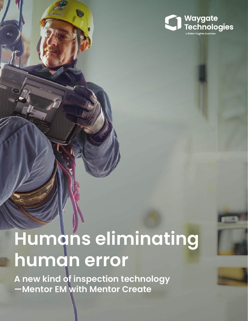

# **Humans eliminating human error**

**A new kind of inspection technology —Mentor EM with Mentor Create**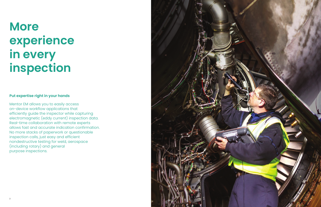

## **More experience in every inspection**

#### **Put expertise right in your hands**

Mentor EM allows you to easily access on-device workflow applications that efficiently guide the inspector while capturing electromagnetic (eddy current) inspection data. Real-time collaboration with remote experts allows fast and accurate indication confirmation. No more stacks of paperwork or questionable inspection calls, just easy and efficient nondestructive testing for weld, aerospace (including rotary) and general purpose inspections.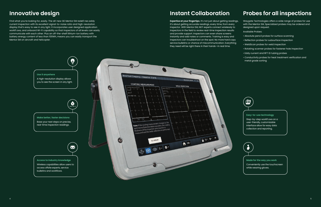## **Innovative design**

Find what you're looking for, easily. The all-new GE Mentor EM redefi nes eddy current inspection with its excellent signal-to-noise ratio and high-resolution display that's easy to see in any light. It incorporates user designed application workfl ows, and onboard Wi-Fi capability so that inspectors of all levels can easily communicate with each other. Plus an off-the-shelf lithium-ion battery with battery energy content of less than 100Wh, means you can easily transport the Mentor EM on aircraft and helicopter.



#### **Made for the way you work**

Conveniently use the touchscreen while wearing gloves.

#### **Easy-to-use technology**

Step-by-step workfl ows on a user-friendly, customizable interface allow for easy data collection and reporting.



### **Instant Collaboration**

**Expertise at your fingertips.** It's not just about getting readings, it's about getting accurate readings, every time, from every inspector. With Mentor EM, NDT experts connect wirelessly to inspectors in the field to review real-time inspection results and provide support. Inspectors can even share screens instantly and add notes or comments. Training is easy and inspectors can troubleshoot on the spot. No more hard copy service bulletins or chance of miscommunication. Everything they need will be right there in their hands—in real time.

### **Probes for all inspections**

Waygate Technologies offers a wide range of probes for use with the Mentor EM. Specialized probes may be ordered and designed upon request.

Available Probes:

- Absolute pencil probes for surface scanning
- Reflection probes for subsurface inspection
- WeldScan probes for weld inspection
- Rotating scanner probes for fastener hole inspection
- Eddy current and RFT ID tubing probes
- Conductivity probes for heat treatment verification and metal grade sorting

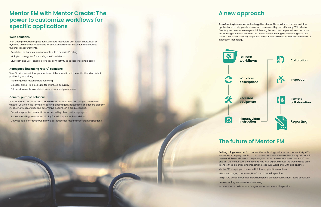

### **Mentor EM with Mentor Create: The power to customize workflows for specific applications**

#### **Weld solutions**

With three preloaded application workflows, inspectors can select single, dual or dynamic gain control inspections for simultaneous crack detection and coating thickness measurements.

- Ready for the harshest environments with a superior IP rating
- Multiple alarm gates for tracking multiple defects
- Bluetooth and Wi-Fi enabled for easy connectivity to accessories and people

With Bluetooth and Wi-Fi data transmission, collaboration can happen remotelywhether you're on the tarmac inspecting landing gear, hanging off an offshore platform inspecting welds or checking automotive bearings in a production line.

#### **Aerospace (including rotary) solutions**

View Timebase and Spot perspectives at the same time to detect both radial defect positioning and sizing.

- High torque for fastener hole scanning
- Excellent signal-to-noise ratio for improved accuracy
- Fully customizable to each inspector's personal preferences

#### **General purpose solutions**

- Superior signal-to-noise ratio for an incredibly clean and sharp signal
- Easy-to-read high-resolution display for visibility in tough conditions
- Downloadable on-device workfl ow applications for fast and consistent inspections

### **A new approach**

**Transforming inspection technology.** Use Mentor EM to tailor on-device workflow applications to help your business run more smoothly and efficiently. With Mentor Create you can ensure everyone is following the exact same procedures, decrease the learning curve and improve the consistency of testing by developing your own custom workflows for every inspection. Mentor EM with Mentor Create—a new level of inspection technology.



 $\Theta$ 

### **The future of Mentor EM**

**Exciting things to come.** From innovative technology to increased connectivity, GE's Mentor EM is helping people make smarter decisions. A new online library will contain downloadable workfl ows to help everyone access the most up-to-date workfl ows and get the most out of their devices. And NDT experts all over the world will be able to share their expertise and inspection procedure workfl ows with one another.

Mentor EM is equipped for use with future applications such as:

- 
- 
- 
- 

• Heat exchanger, condenser, HVAC and ID tube inspection

• High POD pencil probes for increased speed of inspection without losing sensitivity

• Arrays for large area surface scanning

• Customized small systems integration for automated inspections